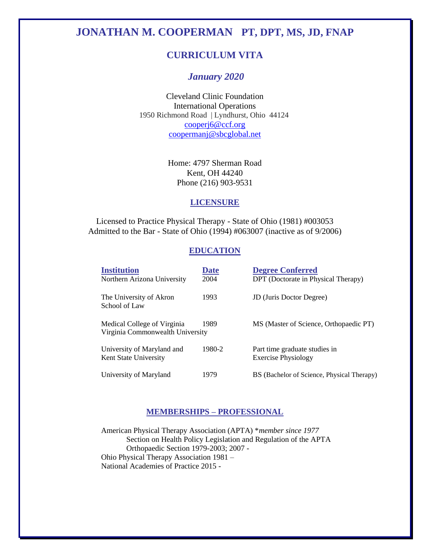# **JONATHAN M. COOPERMAN PT, DPT, MS, JD, FNAP**

# **CURRICULUM VITA**

# *January 2020*

Cleveland Clinic Foundation International Operations 1950 Richmond Road | Lyndhurst, Ohio 44124 [cooperj6@ccf.org](mailto:cooperj6@ccf.org) [coopermanj@sbcglobal.net](mailto:coopermanj@sbcglobal.net)

> Home: 4797 Sherman Road Kent, OH 44240 Phone (216) 903-9531

# **LICENSURE**

Licensed to Practice Physical Therapy - State of Ohio (1981) #003053 Admitted to the Bar - State of Ohio (1994) #063007 (inactive as of 9/2006)

# **EDUCATION**

| <b>Institution</b><br>Northern Arizona University               | <b>Date</b><br>2004 | <b>Degree Conferred</b><br>DPT (Doctorate in Physical Therapy) |
|-----------------------------------------------------------------|---------------------|----------------------------------------------------------------|
| The University of Akron<br>School of Law                        | 1993                | <b>JD</b> (Juris Doctor Degree)                                |
| Medical College of Virginia<br>Virginia Commonwealth University | 1989                | MS (Master of Science, Orthopaedic PT)                         |
| University of Maryland and<br>Kent State University             | 1980-2              | Part time graduate studies in<br><b>Exercise Physiology</b>    |
| University of Maryland                                          | 1979                | BS (Bachelor of Science, Physical Therapy)                     |

# **MEMBERSHIPS – PROFESSIONAL**

American Physical Therapy Association (APTA) \**member since 1977* Section on Health Policy Legislation and Regulation of the APTA Orthopaedic Section 1979-2003; 2007 - Ohio Physical Therapy Association 1981 – National Academies of Practice 2015 -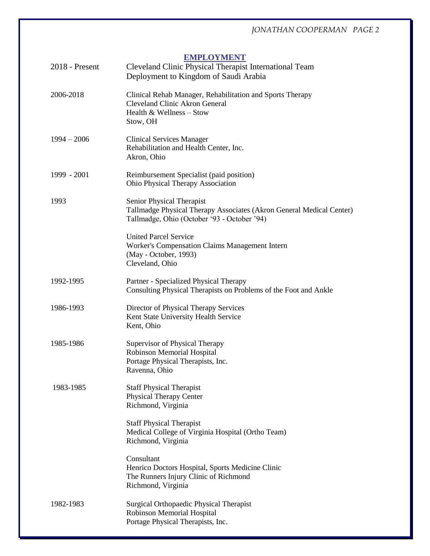# **EMPLOYMENT**

| 2018 - Present | Cleveland Clinic Physical Therapist International Team<br>Deployment to Kingdom of Saudi Arabia                                                  |
|----------------|--------------------------------------------------------------------------------------------------------------------------------------------------|
| 2006-2018      | Clinical Rehab Manager, Rehabilitation and Sports Therapy<br>Cleveland Clinic Akron General<br>Health & Wellness - Stow<br>Stow, OH              |
| $1994 - 2006$  | <b>Clinical Services Manager</b><br>Rehabilitation and Health Center, Inc.<br>Akron, Ohio                                                        |
| 1999 - 2001    | Reimbursement Specialist (paid position)<br>Ohio Physical Therapy Association                                                                    |
| 1993           | Senior Physical Therapist<br>Tallmadge Physical Therapy Associates (Akron General Medical Center)<br>Tallmadge, Ohio (October '93 - October '94) |
|                | <b>United Parcel Service</b><br>Worker's Compensation Claims Management Intern<br>(May - October, 1993)<br>Cleveland, Ohio                       |
| 1992-1995      | Partner - Specialized Physical Therapy<br>Consulting Physical Therapists on Problems of the Foot and Ankle                                       |
| 1986-1993      | Director of Physical Therapy Services<br>Kent State University Health Service<br>Kent, Ohio                                                      |
| 1985-1986      | Supervisor of Physical Therapy<br>Robinson Memorial Hospital<br>Portage Physical Therapists, Inc.<br>Ravenna, Ohio                               |
| 1983-1985      | <b>Staff Physical Therapist</b><br><b>Physical Therapy Center</b><br>Richmond, Virginia                                                          |
|                | <b>Staff Physical Therapist</b><br>Medical College of Virginia Hospital (Ortho Team)<br>Richmond, Virginia                                       |
|                | Consultant<br>Henrico Doctors Hospital, Sports Medicine Clinic<br>The Runners Injury Clinic of Richmond<br>Richmond, Virginia                    |
| 1982-1983      | Surgical Orthopaedic Physical Therapist<br>Robinson Memorial Hospital<br>Portage Physical Therapists, Inc.                                       |
|                |                                                                                                                                                  |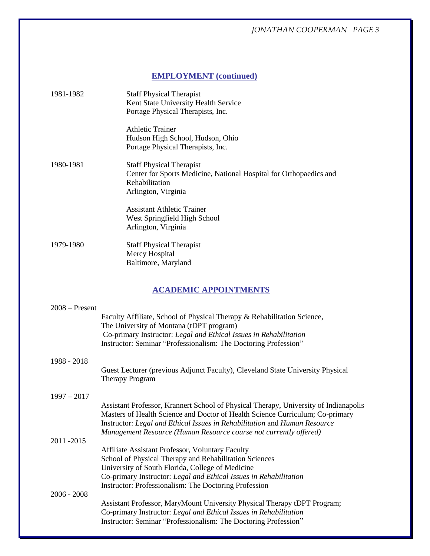# **EMPLOYMENT (continued)**

| 1981-1982        | <b>Staff Physical Therapist</b><br>Kent State University Health Service<br>Portage Physical Therapists, Inc.                                                                                                                                                                                                            |
|------------------|-------------------------------------------------------------------------------------------------------------------------------------------------------------------------------------------------------------------------------------------------------------------------------------------------------------------------|
|                  | <b>Athletic Trainer</b><br>Hudson High School, Hudson, Ohio<br>Portage Physical Therapists, Inc.                                                                                                                                                                                                                        |
| 1980-1981        | <b>Staff Physical Therapist</b><br>Center for Sports Medicine, National Hospital for Orthopaedics and<br>Rehabilitation<br>Arlington, Virginia                                                                                                                                                                          |
|                  | <b>Assistant Athletic Trainer</b><br>West Springfield High School<br>Arlington, Virginia                                                                                                                                                                                                                                |
| 1979-1980        | <b>Staff Physical Therapist</b><br>Mercy Hospital<br>Baltimore, Maryland                                                                                                                                                                                                                                                |
|                  | <b>ACADEMIC APPOINTMENTS</b>                                                                                                                                                                                                                                                                                            |
| $2008 -$ Present | Faculty Affiliate, School of Physical Therapy & Rehabilitation Science,<br>The University of Montana (tDPT program)<br>Co-primary Instructor: Legal and Ethical Issues in Rehabilitation<br>Instructor: Seminar "Professionalism: The Doctoring Profession"                                                             |
| 1988 - 2018      | Guest Lecturer (previous Adjunct Faculty), Cleveland State University Physical<br><b>Therapy Program</b>                                                                                                                                                                                                                |
| $1997 - 2017$    | Assistant Professor, Krannert School of Physical Therapy, University of Indianapolis<br>Masters of Health Science and Doctor of Health Science Curriculum; Co-primary<br>Instructor: Legal and Ethical Issues in Rehabilitation and Human Resource<br>Management Resource (Human Resource course not currently offered) |
| 2011-2015        | Affiliate Assistant Professor, Voluntary Faculty                                                                                                                                                                                                                                                                        |

School of Physical Therapy and Rehabilitation Sciences University of South Florida, College of Medicine Co-primary Instructor: *Legal and Ethical Issues in Rehabilitation* Instructor: Professionalism: The Doctoring Profession 2006 - 2008

Assistant Professor, MaryMount University Physical Therapy tDPT Program; Co-primary Instructor: *Legal and Ethical Issues in Rehabilitation* Instructor: Seminar "Professionalism: The Doctoring Profession"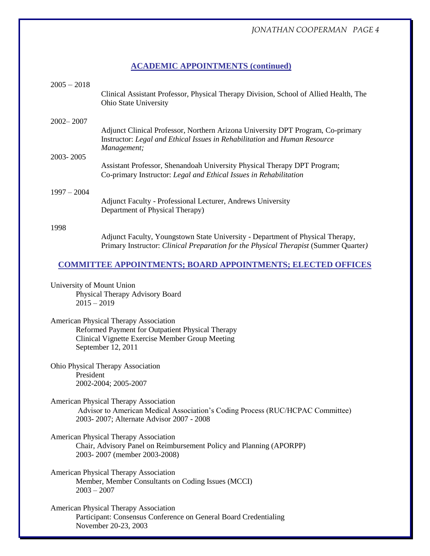# **ACADEMIC APPOINTMENTS (continued)**

| $2005 - 2018$                                                                 | Clinical Assistant Professor, Physical Therapy Division, School of Allied Health, The<br>Ohio State University                                                              |  |
|-------------------------------------------------------------------------------|-----------------------------------------------------------------------------------------------------------------------------------------------------------------------------|--|
| $2002 - 2007$                                                                 | Adjunct Clinical Professor, Northern Arizona University DPT Program, Co-primary<br>Instructor: Legal and Ethical Issues in Rehabilitation and Human Resource<br>Management; |  |
| 2003-2005                                                                     | Assistant Professor, Shenandoah University Physical Therapy DPT Program;<br>Co-primary Instructor: Legal and Ethical Issues in Rehabilitation                               |  |
| $1997 - 2004$                                                                 | Adjunct Faculty - Professional Lecturer, Andrews University<br>Department of Physical Therapy)                                                                              |  |
| 1998                                                                          | Adjunct Faculty, Youngstown State University - Department of Physical Therapy,<br>Primary Instructor: Clinical Preparation for the Physical Therapist (Summer Quarter)      |  |
|                                                                               | <b>COMMITTEE APPOINTMENTS; BOARD APPOINTMENTS; ELECTED OFFICES</b>                                                                                                          |  |
| University of Mount Union<br>Physical Therapy Advisory Board<br>$2015 - 2019$ |                                                                                                                                                                             |  |
|                                                                               | American Physical Therapy Association<br>Reformed Payment for Outpatient Physical Therapy<br>Clinical Vignette Exercise Member Group Meeting<br>September 12, 2011          |  |
| President                                                                     | Ohio Physical Therapy Association<br>2002-2004; 2005-2007                                                                                                                   |  |
|                                                                               | <b>American Physical Therapy Association</b><br>Advisor to American Medical Association's Coding Process (RUC/HCPAC Committee)<br>2003-2007; Alternate Advisor 2007 - 2008  |  |
|                                                                               | American Physical Therapy Association<br>Chair, Advisory Panel on Reimbursement Policy and Planning (APORPP)                                                                |  |

American Physical Therapy Association Member, Member Consultants on Coding Issues (MCCI) 2003 – 2007

2003- 2007 (member 2003-2008)

American Physical Therapy Association Participant: Consensus Conference on General Board Credentialing November 20-23, 2003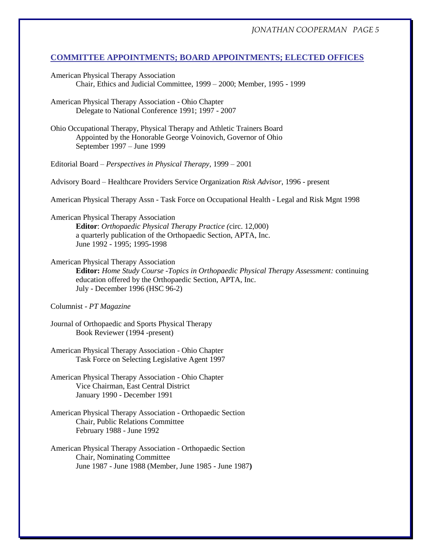## **COMMITTEE APPOINTMENTS; BOARD APPOINTMENTS; ELECTED OFFICES**

- American Physical Therapy Association Chair, Ethics and Judicial Committee, 1999 – 2000; Member, 1995 - 1999
- American Physical Therapy Association Ohio Chapter Delegate to National Conference 1991; 1997 - 2007
- Ohio Occupational Therapy, Physical Therapy and Athletic Trainers Board Appointed by the Honorable George Voinovich, Governor of Ohio September 1997 – June 1999
- Editorial Board *Perspectives in Physical Therapy*, 1999 2001
- Advisory Board Healthcare Providers Service Organization *Risk Advisor*, 1996 present

American Physical Therapy Assn - Task Force on Occupational Health - Legal and Risk Mgnt 1998

American Physical Therapy Association **Editor**: *Orthopaedic Physical Therapy Practice (*circ. 12,000) a quarterly publication of the Orthopaedic Section, APTA, Inc. June 1992 - 1995; 1995-1998

# American Physical Therapy Association

**Editor:** *Home Study Course -Topics in Orthopaedic Physical Therapy Assessment:* continuing education offered by the Orthopaedic Section, APTA, Inc. July - December 1996 (HSC 96-2)

- Columnist *PT Magazine*
- Journal of Orthopaedic and Sports Physical Therapy Book Reviewer (1994 -present)
- American Physical Therapy Association Ohio Chapter Task Force on Selecting Legislative Agent 1997
- American Physical Therapy Association Ohio Chapter Vice Chairman, East Central District January 1990 - December 1991
- American Physical Therapy Association Orthopaedic Section Chair, Public Relations Committee February 1988 - June 1992
- American Physical Therapy Association Orthopaedic Section Chair, Nominating Committee June 1987 - June 1988 (Member, June 1985 - June 1987**)**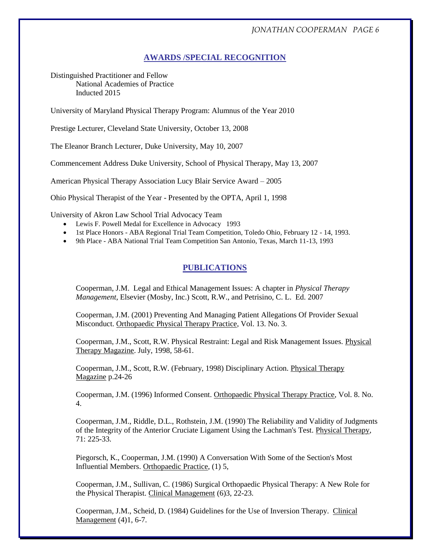# **AWARDS /SPECIAL RECOGNITION**

Distinguished Practitioner and Fellow National Academies of Practice Inducted 2015

University of Maryland Physical Therapy Program: Alumnus of the Year 2010

Prestige Lecturer, Cleveland State University, October 13, 2008

The Eleanor Branch Lecturer, Duke University, May 10, 2007

Commencement Address Duke University, School of Physical Therapy, May 13, 2007

American Physical Therapy Association Lucy Blair Service Award – 2005

Ohio Physical Therapist of the Year - Presented by the OPTA, April 1, 1998

University of Akron Law School Trial Advocacy Team

- Lewis F. Powell Medal for Excellence in Advocacy 1993
- 1st Place Honors ABA Regional Trial Team Competition, Toledo Ohio, February 12 14, 1993.
- 9th Place ABA National Trial Team Competition San Antonio, Texas, March 11-13, 1993

# **PUBLICATIONS**

Cooperman, J.M. Legal and Ethical Management Issues: A chapter in *Physical Therapy Management*, Elsevier (Mosby, Inc.) Scott, R.W., and Petrisino, C. L. Ed. 2007

Cooperman, J.M. (2001) Preventing And Managing Patient Allegations Of Provider Sexual Misconduct. Orthopaedic Physical Therapy Practice, Vol. 13. No. 3.

Cooperman, J.M., Scott, R.W. Physical Restraint: Legal and Risk Management Issues. Physical Therapy Magazine. July, 1998, 58-61.

Cooperman, J.M., Scott, R.W. (February, 1998) Disciplinary Action. Physical Therapy Magazine p.24-26

Cooperman, J.M. (1996) Informed Consent. Orthopaedic Physical Therapy Practice, Vol. 8. No. 4.

Cooperman, J.M., Riddle, D.L., Rothstein, J.M. (1990) The Reliability and Validity of Judgments of the Integrity of the Anterior Cruciate Ligament Using the Lachman's Test. Physical Therapy, 71: 225-33.

Piegorsch, K., Cooperman, J.M. (1990) A Conversation With Some of the Section's Most Influential Members. Orthopaedic Practice, (1) 5,

Cooperman, J.M., Sullivan, C. (1986) Surgical Orthopaedic Physical Therapy: A New Role for the Physical Therapist. Clinical Management (6)3, 22-23.

Cooperman, J.M., Scheid, D. (1984) Guidelines for the Use of Inversion Therapy. Clinical Management (4)1, 6-7.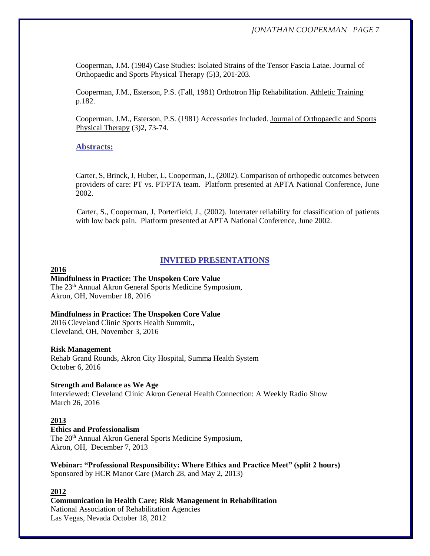Cooperman, J.M. (1984) Case Studies: Isolated Strains of the Tensor Fascia Latae. Journal of Orthopaedic and Sports Physical Therapy (5)3, 201-203.

Cooperman, J.M., Esterson, P.S. (Fall, 1981) Orthotron Hip Rehabilitation. Athletic Training p.182.

Cooperman, J.M., Esterson, P.S. (1981) Accessories Included. Journal of Orthopaedic and Sports Physical Therapy (3)2, 73-74.

# **Abstracts:**

Carter, S, Brinck, J, Huber, L, Cooperman, J., (2002). Comparison of orthopedic outcomes between providers of care: PT vs. PT/PTA team. Platform presented at APTA National Conference, June 2002.

 Carter, S., Cooperman, J, Porterfield, J., (2002). Interrater reliability for classification of patients with low back pain. Platform presented at APTA National Conference, June 2002.

# **INVITED PRESENTATIONS**

## **2016**

**Mindfulness in Practice: The Unspoken Core Value**  The 23th Annual Akron General Sports Medicine Symposium, Akron, OH, November 18, 2016

#### **Mindfulness in Practice: The Unspoken Core Value**

2016 Cleveland Clinic Sports Health Summit., Cleveland, OH, November 3, 2016

#### **Risk Management**

Rehab Grand Rounds, Akron City Hospital, Summa Health System October 6, 2016

#### **Strength and Balance as We Age**

Interviewed: Cleveland Clinic Akron General Health Connection: A Weekly Radio Show March 26, 2016

# **2013**

**Ethics and Professionalism**  The 20th Annual Akron General Sports Medicine Symposium, Akron, OH, December 7, 2013

**Webinar: "Professional Responsibility: Where Ethics and Practice Meet" (split 2 hours)** Sponsored by HCR Manor Care (March 28, and May 2, 2013)

# **2012**

**Communication in Health Care; Risk Management in Rehabilitation** National Association of Rehabilitation Agencies Las Vegas, Nevada October 18, 2012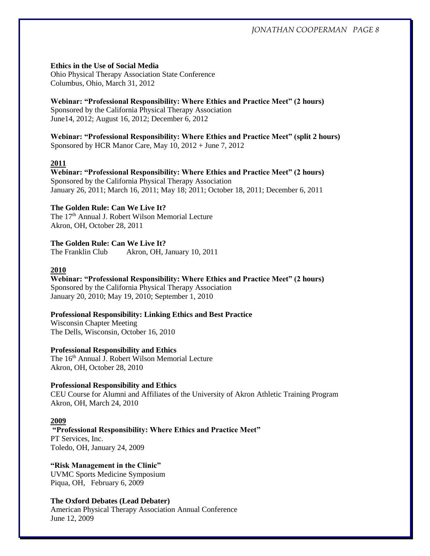# **Ethics in the Use of Social Media**

Ohio Physical Therapy Association State Conference Columbus, Ohio, March 31, 2012

# **Webinar: "Professional Responsibility: Where Ethics and Practice Meet" (2 hours)**

Sponsored by the California Physical Therapy Association June14, 2012; August 16, 2012; December 6, 2012

**Webinar: "Professional Responsibility: Where Ethics and Practice Meet" (split 2 hours)** Sponsored by HCR Manor Care, May 10, 2012 + June 7, 2012

# **2011**

**Webinar: "Professional Responsibility: Where Ethics and Practice Meet" (2 hours)** Sponsored by the California Physical Therapy Association January 26, 2011; March 16, 2011; May 18; 2011; October 18, 2011; December 6, 2011

# **The Golden Rule: Can We Live It?**

The 17th Annual J. Robert Wilson Memorial Lecture Akron, OH, October 28, 2011

# **The Golden Rule: Can We Live It?**

The Franklin Club Akron, OH, January 10, 2011

# **2010**

**Webinar: "Professional Responsibility: Where Ethics and Practice Meet" (2 hours)** Sponsored by the California Physical Therapy Association January 20, 2010; May 19, 2010; September 1, 2010

# **Professional Responsibility: Linking Ethics and Best Practice**

Wisconsin Chapter Meeting The Dells, Wisconsin, October 16, 2010

# **Professional Responsibility and Ethics**

The 16<sup>th</sup> Annual J. Robert Wilson Memorial Lecture Akron, OH, October 28, 2010

# **Professional Responsibility and Ethics**

CEU Course for Alumni and Affiliates of the University of Akron Athletic Training Program Akron, OH, March 24, 2010

# **2009**

**"Professional Responsibility: Where Ethics and Practice Meet"** PT Services, Inc. Toledo, OH, January 24, 2009

**"Risk Management in the Clinic"** UVMC Sports Medicine Symposium Piqua, OH, February 6, 2009

# **The Oxford Debates (Lead Debater)**

American Physical Therapy Association Annual Conference June 12, 2009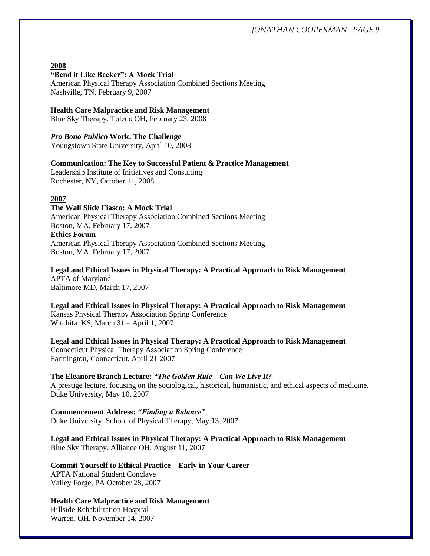#### **2008**

#### **"Bend it Like Becker": A Mock Trial**

American Physical Therapy Association Combined Sections Meeting Nashville, TN, February 9, 2007

#### **Health Care Malpractice and Risk Management**

Blue Sky Therapy, Toledo OH, February 23, 2008

*Pro Bono Publico* **Work: The Challenge**

Youngstown State University, April 10, 2008

#### **Communication: The Key to Successful Patient & Practice Management**

Leadership Institute of Initiatives and Consulting Rochester, NY, October 11, 2008

#### **2007**

**The Wall Slide Fiasco: A Mock Trial** American Physical Therapy Association Combined Sections Meeting Boston, MA, February 17, 2007 **Ethics Forum** American Physical Therapy Association Combined Sections Meeting Boston, MA, February 17, 2007

**Legal and Ethical Issues in Physical Therapy: A Practical Approach to Risk Management** APTA of Maryland Baltimore MD, March 17, 2007

**Legal and Ethical Issues in Physical Therapy: A Practical Approach to Risk Management** Kansas Physical Therapy Association Spring Conference Witchita. KS, March 31 – April 1, 2007

**Legal and Ethical Issues in Physical Therapy: A Practical Approach to Risk Management** Connecticut Physical Therapy Association Spring Conference Farmington, Connecticut, April 21 2007

**The Eleanore Branch Lecture:** *"The Golden Rule – Can We Live It?* A prestige lecture, focusing on the sociological, historical, humanistic, and ethical aspects of medicine*.* Duke University, May 10, 2007

**Commencement Address:** *"Finding a Balance"* Duke University, School of Physical Therapy, May 13, 2007

**Legal and Ethical Issues in Physical Therapy: A Practical Approach to Risk Management** Blue Sky Therapy, Alliance OH, August 11, 2007

**Commit Yourself to Ethical Practice – Early in Your Career** APTA National Student Conclave Valley Forge, PA October 28, 2007

**Health Care Malpractice and Risk Management**  Hillside Rehabilitation Hospital Warren, OH, November 14, 2007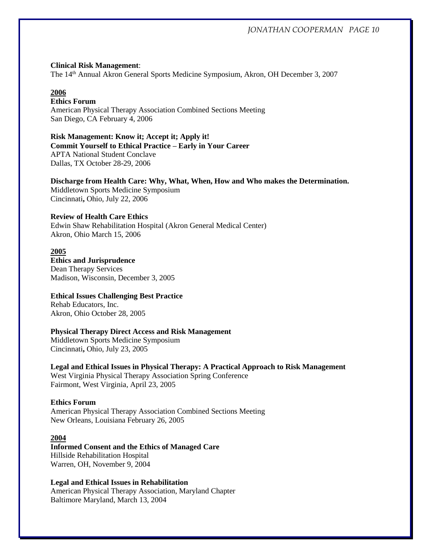#### **Clinical Risk Management**:

The 14th Annual Akron General Sports Medicine Symposium, Akron, OH December 3, 2007

# **2006**

# **Ethics Forum**

American Physical Therapy Association Combined Sections Meeting San Diego, CA February 4, 2006

# **Risk Management: Know it; Accept it; Apply it!**

**Commit Yourself to Ethical Practice – Early in Your Career** APTA National Student Conclave

Dallas, TX October 28-29, 2006

# **Discharge from Health Care: Why, What, When, How and Who makes the Determination.**

Middletown Sports Medicine Symposium Cincinnati**,** Ohio, July 22, 2006

## **Review of Health Care Ethics**

Edwin Shaw Rehabilitation Hospital (Akron General Medical Center) Akron, Ohio March 15, 2006

#### **2005**

## **Ethics and Jurisprudence** Dean Therapy Services

Madison, Wisconsin, December 3, 2005

# **Ethical Issues Challenging Best Practice**

Rehab Educators, Inc. Akron, Ohio October 28, 2005

# **Physical Therapy Direct Access and Risk Management**

Middletown Sports Medicine Symposium Cincinnati**,** Ohio, July 23, 2005

# **Legal and Ethical Issues in Physical Therapy: A Practical Approach to Risk Management** West Virginia Physical Therapy Association Spring Conference Fairmont, West Virginia, April 23, 2005

#### **Ethics Forum**

American Physical Therapy Association Combined Sections Meeting New Orleans, Louisiana February 26, 2005

#### **2004**

**Informed Consent and the Ethics of Managed Care** Hillside Rehabilitation Hospital Warren, OH, November 9, 2004

# **Legal and Ethical Issues in Rehabilitation**

American Physical Therapy Association, Maryland Chapter Baltimore Maryland, March 13, 2004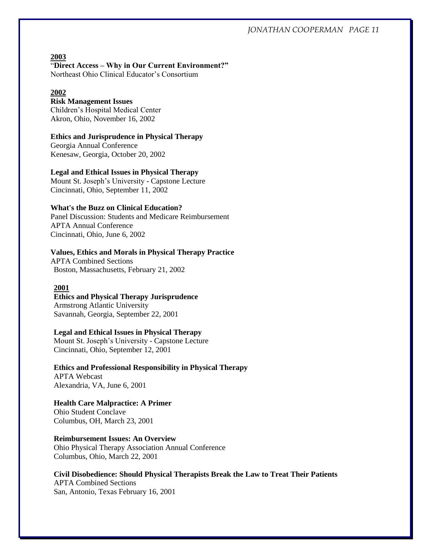**2003** "**Direct Access – Why in Our Current Environment?"**

Northeast Ohio Clinical Educator's Consortium

# **2002**

# **Risk Management Issues**

Children's Hospital Medical Center Akron, Ohio, November 16, 2002

## **Ethics and Jurisprudence in Physical Therapy**

Georgia Annual Conference Kenesaw, Georgia, October 20, 2002

## **Legal and Ethical Issues in Physical Therapy**

Mount St. Joseph's University - Capstone Lecture Cincinnati, Ohio, September 11, 2002

# **What's the Buzz on Clinical Education?**

Panel Discussion: Students and Medicare Reimbursement APTA Annual Conference Cincinnati, Ohio, June 6, 2002

## **Values, Ethics and Morals in Physical Therapy Practice**

APTA Combined Sections Boston, Massachusetts, February 21, 2002

#### **2001**

## **Ethics and Physical Therapy Jurisprudence**

Armstrong Atlantic University Savannah, Georgia, September 22, 2001

# **Legal and Ethical Issues in Physical Therapy**

Mount St. Joseph's University - Capstone Lecture Cincinnati, Ohio, September 12, 2001

**Ethics and Professional Responsibility in Physical Therapy**  APTA Webcast Alexandria, VA, June 6, 2001

#### **Health Care Malpractice: A Primer**  Ohio Student Conclave

Columbus, OH, March 23, 2001

# **Reimbursement Issues: An Overview**

Ohio Physical Therapy Association Annual Conference Columbus, Ohio, March 22, 2001

# **Civil Disobedience: Should Physical Therapists Break the Law to Treat Their Patients**

APTA Combined Sections San, Antonio, Texas February 16, 2001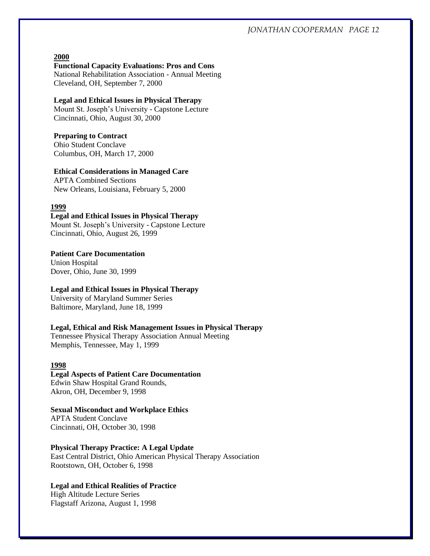## **2000**

**Functional Capacity Evaluations: Pros and Cons**

National Rehabilitation Association - Annual Meeting Cleveland, OH, September 7, 2000

# **Legal and Ethical Issues in Physical Therapy**

Mount St. Joseph's University - Capstone Lecture Cincinnati, Ohio, August 30, 2000

#### **Preparing to Contract**

Ohio Student Conclave Columbus, OH, March 17, 2000

### **Ethical Considerations in Managed Care**

APTA Combined Sections New Orleans, Louisiana, February 5, 2000

#### **1999**

# **Legal and Ethical Issues in Physical Therapy**

Mount St. Joseph's University - Capstone Lecture Cincinnati, Ohio, August 26, 1999

#### **Patient Care Documentation**

Union Hospital Dover, Ohio, June 30, 1999

## **Legal and Ethical Issues in Physical Therapy**

University of Maryland Summer Series Baltimore, Maryland, June 18, 1999

### **Legal, Ethical and Risk Management Issues in Physical Therapy**

Tennessee Physical Therapy Association Annual Meeting Memphis, Tennessee, May 1, 1999

### **1998**

### **Legal Aspects of Patient Care Documentation** Edwin Shaw Hospital Grand Rounds, Akron, OH, December 9, 1998

# **Sexual Misconduct and Workplace Ethics**

APTA Student Conclave Cincinnati, OH, October 30, 1998

#### **Physical Therapy Practice: A Legal Update**

East Central District, Ohio American Physical Therapy Association Rootstown, OH, October 6, 1998

# **Legal and Ethical Realities of Practice**

High Altitude Lecture Series Flagstaff Arizona, August 1, 1998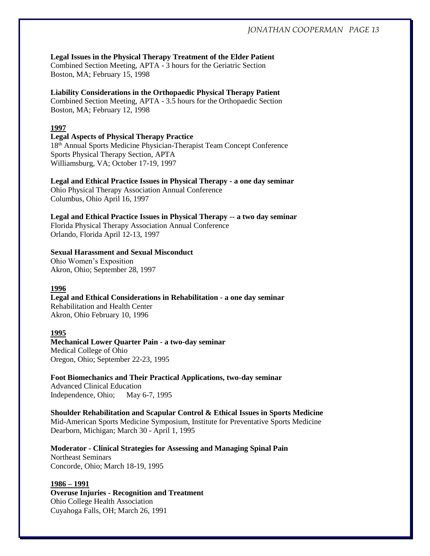# **Legal Issues in the Physical Therapy Treatment of the Elder Patient**

Combined Section Meeting, APTA - 3 hours for the Geriatric Section Boston, MA; February 15, 1998

# **Liability Considerations in the Orthopaedic Physical Therapy Patient**

Combined Section Meeting, APTA - 3.5 hours for the Orthopaedic Section Boston, MA; February 12, 1998

# **1997**

# **Legal Aspects of Physical Therapy Practice**

18th Annual Sports Medicine Physician-Therapist Team Concept Conference Sports Physical Therapy Section, APTA Williamsburg, VA; October 17-19, 1997

# **Legal and Ethical Practice Issues in Physical Therapy - a one day seminar**

Ohio Physical Therapy Association Annual Conference Columbus, Ohio April 16, 1997

**Legal and Ethical Practice Issues in Physical Therapy -- a two day seminar** Florida Physical Therapy Association Annual Conference Orlando, Florida April 12-13, 1997

# **Sexual Harassment and Sexual Misconduct**

Ohio Women's Exposition Akron, Ohio; September 28, 1997

# **1996**

**Legal and Ethical Considerations in Rehabilitation - a one day seminar** Rehabilitation and Health Center Akron, Ohio February 10, 1996

# **1995**

# **Mechanical Lower Quarter Pain - a two-day seminar** Medical College of Ohio Oregon, Ohio; September 22-23, 1995

**Foot Biomechanics and Their Practical Applications, two-day seminar** Advanced Clinical Education

Independence, Ohio; May 6-7, 1995

**Shoulder Rehabilitation and Scapular Control & Ethical Issues in Sports Medicine** Mid-American Sports Medicine Symposium, Institute for Preventative Sports Medicine Dearborn, Michigan; March 30 - April 1, 1995

**Moderator - Clinical Strategies for Assessing and Managing Spinal Pain** Northeast Seminars Concorde, Ohio; March 18-19, 1995

#### **1986 – 1991**

**Overuse Injuries - Recognition and Treatment** Ohio College Health Association Cuyahoga Falls, OH; March 26, 1991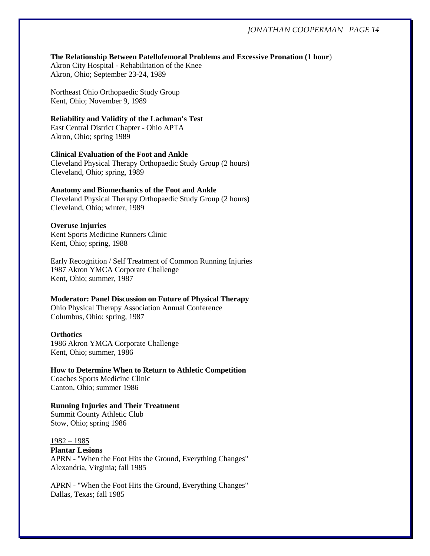#### **The Relationship Between Patellofemoral Problems and Excessive Pronation (1 hour**)

Akron City Hospital - Rehabilitation of the Knee Akron, Ohio; September 23-24, 1989

Northeast Ohio Orthopaedic Study Group Kent, Ohio; November 9, 1989

#### **Reliability and Validity of the Lachman's Test**

East Central District Chapter - Ohio APTA Akron, Ohio; spring 1989

# **Clinical Evaluation of the Foot and Ankle**

Cleveland Physical Therapy Orthopaedic Study Group (2 hours) Cleveland, Ohio; spring, 1989

## **Anatomy and Biomechanics of the Foot and Ankle**

Cleveland Physical Therapy Orthopaedic Study Group (2 hours) Cleveland, Ohio; winter, 1989

#### **Overuse Injuries**

Kent Sports Medicine Runners Clinic Kent, Ohio; spring, 1988

Early Recognition / Self Treatment of Common Running Injuries 1987 Akron YMCA Corporate Challenge Kent, Ohio; summer, 1987

#### **Moderator: Panel Discussion on Future of Physical Therapy**

Ohio Physical Therapy Association Annual Conference Columbus, Ohio; spring, 1987

#### **Orthotics**

1986 Akron YMCA Corporate Challenge Kent, Ohio; summer, 1986

**How to Determine When to Return to Athletic Competition** Coaches Sports Medicine Clinic Canton, Ohio; summer 1986

**Running Injuries and Their Treatment** Summit County Athletic Club Stow, Ohio; spring 1986

1982 – 1985

**Plantar Lesions** APRN - "When the Foot Hits the Ground, Everything Changes" Alexandria, Virginia; fall 1985

APRN - "When the Foot Hits the Ground, Everything Changes" Dallas, Texas; fall 1985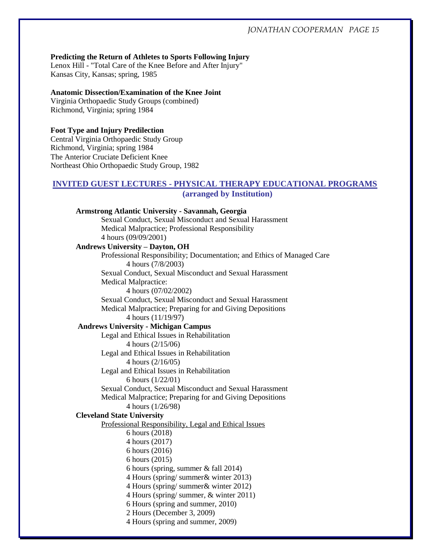#### **Predicting the Return of Athletes to Sports Following Injury**

Lenox Hill - "Total Care of the Knee Before and After Injury" Kansas City, Kansas; spring, 1985

# **Anatomic Dissection/Examination of the Knee Joint**

Virginia Orthopaedic Study Groups (combined) Richmond, Virginia; spring 1984

# **Foot Type and Injury Predilection**

Central Virginia Orthopaedic Study Group Richmond, Virginia; spring 1984 The Anterior Cruciate Deficient Knee Northeast Ohio Orthopaedic Study Group, 1982

# **INVITED GUEST LECTURES - PHYSICAL THERAPY EDUCATIONAL PROGRAMS**

**(arranged by Institution)**

# **Armstrong Atlantic University - Savannah, Georgia** Sexual Conduct, Sexual Misconduct and Sexual Harassment Medical Malpractice; Professional Responsibility 4 hours (09/09/2001) **Andrews University – Dayton, OH** Professional Responsibility; Documentation; and Ethics of Managed Care 4 hours (7/8/2003) Sexual Conduct, Sexual Misconduct and Sexual Harassment Medical Malpractice: 4 hours (07/02/2002) Sexual Conduct, Sexual Misconduct and Sexual Harassment Medical Malpractice; Preparing for and Giving Depositions 4 hours (11/19/97) **Andrews University - Michigan Campus** Legal and Ethical Issues in Rehabilitation 4 hours (2/15/06) Legal and Ethical Issues in Rehabilitation 4 hours (2/16/05) Legal and Ethical Issues in Rehabilitation 6 hours (1/22/01) Sexual Conduct, Sexual Misconduct and Sexual Harassment Medical Malpractice; Preparing for and Giving Depositions 4 hours (1/26/98) **Cleveland State University** Professional Responsibility, Legal and Ethical Issues 6 hours (2018) 4 hours (2017) 6 hours (2016) 6 hours (2015) 6 hours (spring, summer & fall 2014) 4 Hours (spring/ summer& winter 2013) 4 Hours (spring/ summer& winter 2012) 4 Hours (spring/ summer, & winter 2011) 6 Hours (spring and summer, 2010) 2 Hours (December 3, 2009) 4 Hours (spring and summer, 2009)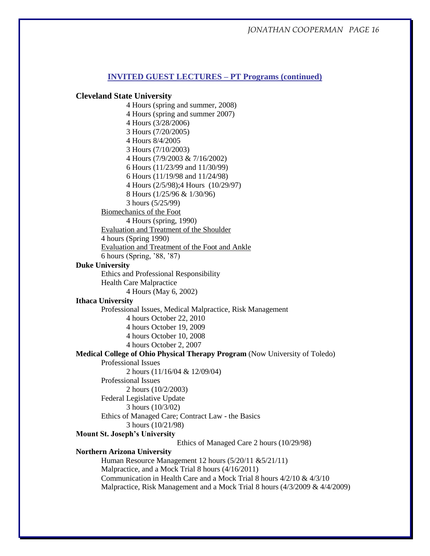## **INVITED GUEST LECTURES – PT Programs (continued)**

## **Cleveland State University**

4 Hours (spring and summer, 2008) 4 Hours (spring and summer 2007) 4 Hours (3/28/2006) 3 Hours (7/20/2005) 4 Hours 8/4/2005 3 Hours (7/10/2003) 4 Hours (7/9/2003 & 7/16/2002) 6 Hours (11/23/99 and 11/30/99) 6 Hours (11/19/98 and 11/24/98) 4 Hours (2/5/98);4 Hours (10/29/97) 8 Hours (1/25/96 & 1/30/96) 3 hours (5/25/99) Biomechanics of the Foot 4 Hours (spring, 1990) Evaluation and Treatment of the Shoulder 4 hours (Spring 1990) Evaluation and Treatment of the Foot and Ankle 6 hours (Spring, '88, '87) **Duke University** Ethics and Professional Responsibility Health Care Malpractice 4 Hours (May 6, 2002) **Ithaca University** Professional Issues, Medical Malpractice, Risk Management 4 hours October 22, 2010 4 hours October 19, 2009 4 hours October 10, 2008 4 hours October 2, 2007 **Medical College of Ohio Physical Therapy Program** (Now University of Toledo) Professional Issues 2 hours (11/16/04 & 12/09/04) Professional Issues 2 hours (10/2/2003) Federal Legislative Update 3 hours (10/3/02) Ethics of Managed Care; Contract Law - the Basics 3 hours (10/21/98) **Mount St. Joseph's University** Ethics of Managed Care 2 hours (10/29/98) **Northern Arizona University** Human Resource Management 12 hours (5/20/11 &5/21/11) Malpractice, and a Mock Trial 8 hours (4/16/2011) Communication in Health Care and a Mock Trial 8 hours 4/2/10 & 4/3/10 Malpractice, Risk Management and a Mock Trial 8 hours (4/3/2009 & 4/4/2009)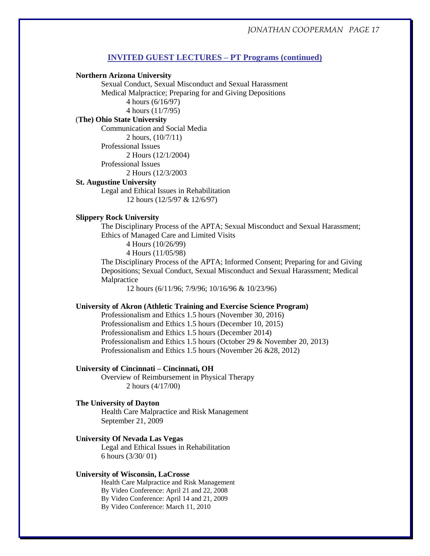# **INVITED GUEST LECTURES – PT Programs (continued)**

#### **Northern Arizona University**

Sexual Conduct, Sexual Misconduct and Sexual Harassment Medical Malpractice; Preparing for and Giving Depositions 4 hours (6/16/97) 4 hours (11/7/95)

## (**The) Ohio State University**

Communication and Social Media

2 hours, (10/7/11)

Professional Issues

2 Hours (12/1/2004)

Professional Issues 2 Hours (12/3/2003

#### **St. Augustine University**

Legal and Ethical Issues in Rehabilitation 12 hours (12/5/97 & 12/6/97)

## **Slippery Rock University**

The Disciplinary Process of the APTA; Sexual Misconduct and Sexual Harassment; Ethics of Managed Care and Limited Visits

4 Hours (10/26/99)

4 Hours (11/05/98)

The Disciplinary Process of the APTA; Informed Consent; Preparing for and Giving Depositions; Sexual Conduct, Sexual Misconduct and Sexual Harassment; Medical Malpractice

12 hours (6/11/96; 7/9/96; 10/16/96 & 10/23/96)

#### **University of Akron (Athletic Training and Exercise Science Program)**

Professionalism and Ethics 1.5 hours (November 30, 2016) Professionalism and Ethics 1.5 hours (December 10, 2015) Professionalism and Ethics 1.5 hours (December 2014) Professionalism and Ethics 1.5 hours (October 29 & November 20, 2013) Professionalism and Ethics 1.5 hours (November 26 &28, 2012)

#### **University of Cincinnati – Cincinnati, OH**

Overview of Reimbursement in Physical Therapy 2 hours (4/17/00)

#### **The University of Dayton**

Health Care Malpractice and Risk Management September 21, 2009

## **University Of Nevada Las Vegas**

Legal and Ethical Issues in Rehabilitation 6 hours (3/30/ 01)

#### **University of Wisconsin, LaCrosse**

Health Care Malpractice and Risk Management By Video Conference: April 21 and 22, 2008 By Video Conference: April 14 and 21, 2009 By Video Conference: March 11, 2010